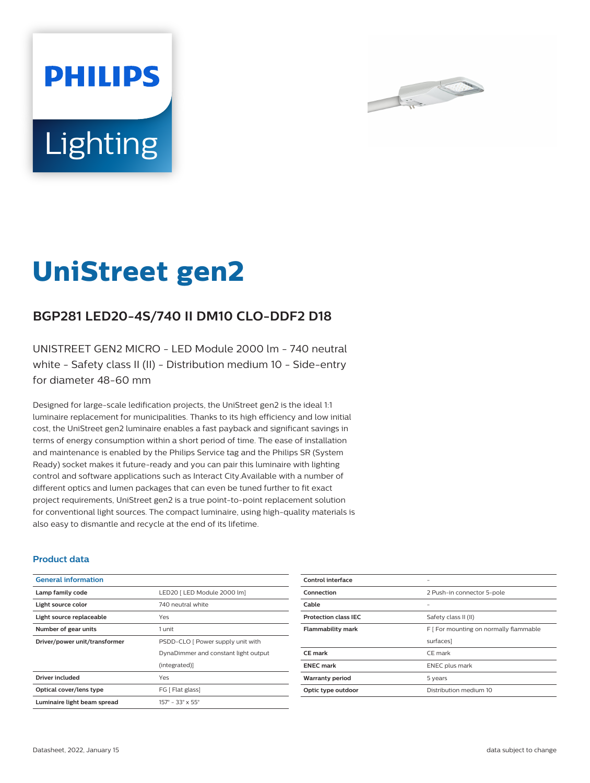



# **UniStreet gen2**

## **BGP281 LED20-4S/740 II DM10 CLO-DDF2 D18**

UNISTREET GEN2 MICRO - LED Module 2000 lm - 740 neutral white - Safety class II (II) - Distribution medium 10 - Side-entry for diameter 48-60 mm

Designed for large-scale ledification projects, the UniStreet gen2 is the ideal 1:1 luminaire replacement for municipalities. Thanks to its high efficiency and low initial cost, the UniStreet gen2 luminaire enables a fast payback and significant savings in terms of energy consumption within a short period of time. The ease of installation and maintenance is enabled by the Philips Service tag and the Philips SR (System Ready) socket makes it future-ready and you can pair this luminaire with lighting control and software applications such as Interact City.Available with a number of different optics and lumen packages that can even be tuned further to fit exact project requirements, UniStreet gen2 is a true point-to-point replacement solution for conventional light sources. The compact luminaire, using high-quality materials is also easy to dismantle and recycle at the end of its lifetime.

### **Product data**

| <b>General information</b>    |                                              |
|-------------------------------|----------------------------------------------|
| Lamp family code              | LED20   LED Module 2000 lm]                  |
| Light source color            | 740 neutral white                            |
| Light source replaceable      | Yes                                          |
| Number of gear units          | 1 unit                                       |
| Driver/power unit/transformer | PSDD-CLO [ Power supply unit with            |
|                               | DynaDimmer and constant light output         |
|                               | (integrated)]                                |
| Driver included               | Yes                                          |
| Optical cover/lens type       | FG [ Flat glass]                             |
| Luminaire light beam spread   | $157^{\circ} - 33^{\circ} \times 55^{\circ}$ |

| Control interface           |                                        |
|-----------------------------|----------------------------------------|
| Connection                  | 2 Push-in connector 5-pole             |
| Cable                       | -                                      |
| <b>Protection class IEC</b> | Safety class II (II)                   |
| <b>Flammability mark</b>    | F   For mounting on normally flammable |
|                             | surfaces]                              |
| CE mark                     | CE mark                                |
| <b>ENEC mark</b>            | ENEC plus mark                         |
| <b>Warranty period</b>      | 5 years                                |
| Optic type outdoor          | Distribution medium 10                 |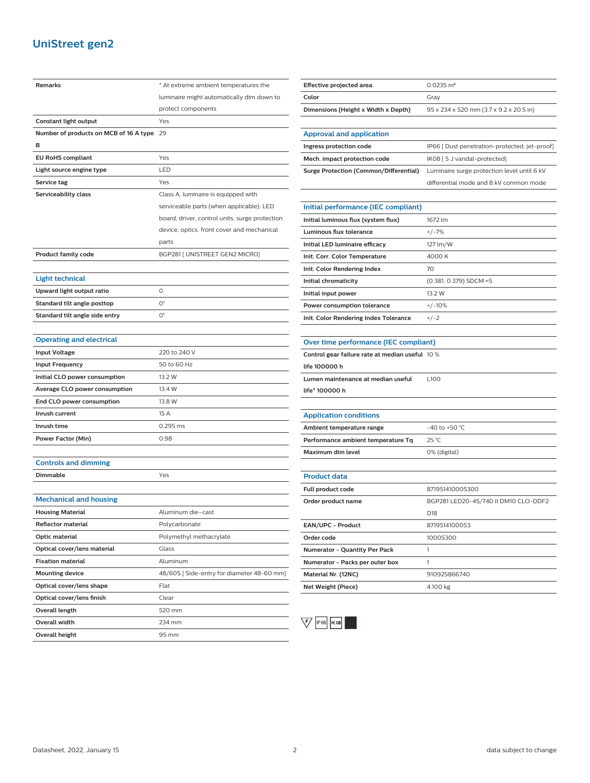## **UniStreet gen2**

| <b>Remarks</b>                         | * At extreme ambient temperatures the          |
|----------------------------------------|------------------------------------------------|
|                                        | luminaire might automatically dim down to      |
|                                        | protect components                             |
| Constant light output                  | Yes                                            |
| Number of products on MCB of 16 A type | 29                                             |
| в                                      |                                                |
| <b>EU RoHS compliant</b>               | Yes                                            |
| Light source engine type               | LED                                            |
| Service tag                            | Yes                                            |
| Serviceability class                   | Class A, luminaire is equipped with            |
|                                        | serviceable parts (when applicable): LED       |
|                                        | board, driver, control units, surge protection |
|                                        | device, optics, front cover and mechanical     |
|                                        | parts                                          |
| <b>Product family code</b>             | BGP281 [ UNISTREET GEN2 MICRO]                 |
|                                        |                                                |
| <b>Light technical</b>                 |                                                |
| Upward light output ratio              | 0                                              |
| Standard tilt angle posttop            | $\mathsf{O}^\circ$                             |
| Standard tilt angle side entry         | $O^{\circ}$                                    |
|                                        |                                                |
| <b>Operating and electrical</b>        |                                                |
| <b>Input Voltage</b>                   | 220 to 240 V                                   |
| <b>Input Frequency</b>                 | 50 to 60 Hz                                    |
| Initial CLO power consumption          | 13.2 W                                         |
| <b>Average CLO power consumption</b>   | 13.4 W                                         |
| End CLO power consumption              | 13.8 W                                         |
| Inrush current                         | 15 A                                           |
| Inrush time                            | 0.295 ms                                       |
| <b>Power Factor (Min)</b>              | 0.98                                           |
|                                        |                                                |
| <b>Controls and dimming</b>            |                                                |
| Dimmable                               | Yes                                            |
|                                        |                                                |
| <b>Mechanical and housing</b>          |                                                |
| <b>Housing Material</b>                | Aluminum die-cast                              |
| Reflector material                     | Polycarbonate                                  |
| Optic material                         | Polymethyl methacrylate                        |
| Optical cover/lens material            | Glass                                          |
| <b>Fixation material</b>               | Aluminum                                       |
| <b>Mounting device</b>                 | 48/60S [Side-entry for diameter 48-60 mm]      |
| Optical cover/lens shape               | Flat                                           |
| Optical cover/lens finish              | Clear                                          |
| Overall length                         | 520 mm                                         |
| <b>Overall width</b>                   | 234 mm                                         |
| <b>Overall height</b>                  | 95 mm                                          |
|                                        |                                                |

| Effective projected area                      | $0.0235 \text{ m}^2$                          |
|-----------------------------------------------|-----------------------------------------------|
| Color                                         | Gray                                          |
| Dimensions (Height x Width x Depth)           | 95 x 234 x 520 mm (3.7 x 9.2 x 20.5 in)       |
|                                               |                                               |
| Approval and application                      |                                               |
| Ingress protection code                       | IP66 [ Dust penetration-protected, jet-proof] |
| Mech. impact protection code                  | IK08 [ 5 J vandal-protected]                  |
| <b>Surge Protection (Common/Differential)</b> | Luminaire surge protection level until 6 kV   |
|                                               | differential mode and 8 kV common mode        |
|                                               |                                               |
| Initial performance (IEC compliant)           |                                               |
| Initial luminous flux (system flux)           | 1672 lm                                       |
| Luminous flux tolerance                       | $+/-7%$                                       |
|                                               |                                               |

| Initial LED luminaire efficacy        | 127 lm/W               |
|---------------------------------------|------------------------|
| Init. Corr. Color Temperature         | 4000 K                 |
| Init. Color Rendering Index           | 70                     |
| Initial chromaticity                  | (0.381, 0.379) SDCM <5 |
| Initial input power                   | 13.2 W                 |
| Power consumption tolerance           | $+/-10%$               |
| Init. Color Rendering Index Tolerance | $+/-2$                 |

| Over time performance (IEC compliant)           |                    |  |
|-------------------------------------------------|--------------------|--|
| Control gear failure rate at median useful 10 % |                    |  |
| life 100000 h                                   |                    |  |
| Lumen maintenance at median useful              | L100               |  |
| life* 100000 h                                  |                    |  |
|                                                 |                    |  |
| <b>Application conditions</b>                   |                    |  |
| Ambient temperature range                       | $-40$ to $+50$ °C. |  |
| Performance ambient temperature Tq              | 25 °C              |  |
| Maximum dim level                               | 0% (digital)       |  |

#### **Product data**

| <b>Full product code</b>             | 871951410005300                      |
|--------------------------------------|--------------------------------------|
| Order product name                   | BGP281 LED20-4S/740 II DM10 CLO-DDF2 |
|                                      | D <sub>18</sub>                      |
| <b>EAN/UPC - Product</b>             | 8719514100053                        |
| Order code                           | 10005300                             |
| <b>Numerator - Quantity Per Pack</b> |                                      |
| Numerator - Packs per outer box      |                                      |
| Material Nr. (12NC)                  | 910925866740                         |
| Net Weight (Piece)                   | 4.100 kg                             |
|                                      |                                      |